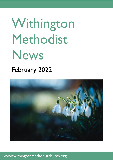# Withington Methodist News

# February 2022



## www.withingtonmethodistchurch.org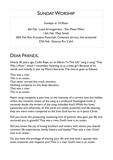## SUNDAY WORSHIP

Sundays at 10.45am

6th Feb Local Arrangement - Rev. Peter Went 13th Feb Matt Smith 20th Feb Rev. Krystyna Kwarciak, Covenant service, live streamed 27th Feb Deacon Pru Cahil

## DEAR FRIENDS,

Nearly 30 years ago, Collin Raye, on an Album "In This Life" sang a song "That Was a River" which I remember listening to as a little girl. Because of its words and melody, it was my Mum's favourite.The chorus goes as follows:

That was a river This is an ocean, That never carried this much emotion, Nothing compares to this deep devotion, That was a river, This is an ocean.

Raye's song compares a past love to the intensity of a current love but hidden within the romantic intent of the song is a profound theological truth. (I seriously doubt the writers of the song intended that!) While the loves, passionate and otherwise, of this earth are sweet, powerful, and life-altering, they are mere rivers compared to the love God has for us in Jesus Christ.

Did you know the protecting, sustaining love of parents who gave you life and nurtured you in growth? That was a river. God's love is an ocean.

Did you know the joy of loving brothers and sisters, with whom you shared common life experiences, family history and loyalty? That was a river. God's love is an ocean.

Do you have the privilege of sharing your life and love with a spouse who loves, treasures and respects you? That is a river. God's love is an ocean.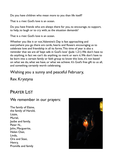Do you have children who mean more to you than life itself?

That is a river. God's love is an ocean.

Do you have friends who are always there for you, to encourage, to support, to help, to laugh or to cry with, as the situation demands?

That is a river. God's love is an ocean.

Whether you like it or not, Valentine's Day is fast approaching and everywhere you go there are cards, hearts and flowers encouraging us to celebrate love and friendship in all its forms. This time of year is also a reminder that we are all 'kept safe in God's love' (Jude 1,21). We don't have to do anything, in fact we can't do anything, to merit or earn it. We don't have to be born into a certain family or faith group to know this love, it's not based on what we do, what we have, or what we achieve. It's God's free gift to us all, and something certainly worth celebrating.

### Wishing you a sunny and peaceful February,

## Rev. Krystyna

## PRAYER LIST

#### We remember in our prayers:

The family of Elaine, the family of Harold, Lizzie, Muriel, lasibe and family, Peter N., John, Marguerite, Helen Osei, Linda, Ora and Stasi, Henry, Promilla and family

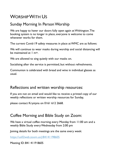# WORSHIP WITH US

## Sunday Morning In Person Worship

We are happy to haver our doors fully open again at Withington. The booking system is no longer in place, everyone is welcome to come whenever works for them.

The current Covid-19 safety measures in place at WMC are as follows:

We will continue to wear masks during worship and social distancing will be maintained at 1 m+.

We are allowed to sing quietly with our masks on.

Socialising after the service is permitted, but without refreshments.

Communion is celebrated with bread and wine in individual glasses as usual.

#### Reflections and written worship resources:

If you are not on email and would like to receive a printed copy of our weekly reflections or written worship resources for Sunday,

please contact Krystyna on 0161 612 2668.

## Coffee Morning and Bible Study on Zoom:

We have a virtual coffee morning every Monday from 11:00 am and a weekly Bible Study every Wednesday from 2:00 pm

Joining details for both meetings are the same every week:

<https://us02web.zoom.us/j/84141198605>

Meeting ID: 841 4119 8605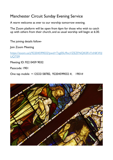## Manchester Circuit Sunday Evening Service

A warm welcome as ever to our worship tomorrow evening.

The Zoom platform will be open from 6pm for those who wish to catch up with others from their church, and as usual worship will begin at 6:30.

The joining details follow-

Join Zoom Meeting

[https://zoom.us/j/92204599032?pwd=Tzg0SU9xcVZEZFNQK0FnYnNKWjl](https://zoom.us/j/92204599032?pwd=Tzg0SU9xcVZEZFNQK0FnYnNKWjlUQT09) UOT<sub>09</sub>

Meeting ID: 922 0459 9032

Passcode: 1901

One tap mobile + 12532158782, 92204599032 #, 1901#

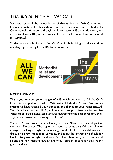# THANK YOU FROM ALL WE CAN

We have received the below letter of thanks from All We Can for our Harvest donation. To clarify, there have been delays on both ends due to Covid complications and although the letter states £85 as the donation, our actual total was £105, as there was a cheque which was sent and accounted for separately.

So thanks to all who included 'All We Can ' in their giving last Harvest time enabling a generous gift of £105 to be forwarded.



Dear Ms Jenny Went,

Thank you for your generous gift of £85 which you sent to All We Can's Next Steps appeal on behalf of Withington Methodist Church. We are so grateful to have received your donation and thanks to your generosity, All We Can's local partner, HEFO, will be able to support livestock farmer like Vaiter to take their next steps towards overcoming the challenges of Covid-19, climate change, and poverty. Thank you!

Vaiter is 73, and lives in a small village in rural Nkayi – a dry, arid part of southern Zimbabwe. The region is prone to erratic rainfall, and climate change is making drought an increasing threat. The lack of rainfall makes it difficult to grow most crop varieties, and it can be extremely difficult for families to grow enough to eat. Vaiter's children have sadly passed away, and so she and her husband have an enormous burden of care for their young grandchildren.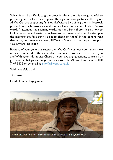Whilst it can be difficult to grow crops in Nkayi, there is enough rainfall to produce grass for livestock to graze. Through our local partner in the region, All We Can are supporting families like Vaiter's by training them in livestock production which provides a vital source of food and income. In Vaiter's own words, 'I attended their faming workshops and from there I learnt how to look after cattle and goats. I now have my own goats and when I wake up in the morning the first thing I do is to check on them.' In the coming year, thanks to your ongoing kindness, All We Can's local partner hope to support 462 farmers like Vaiter.

Because of your generous support, All We Can's vital work continues – we remain committed to the vulnerable communities we serve as well as t you and Withington Methodist Church. If you have any questions, concerns or just want a chat please do get in touch with the All We Can team on 020 7467 5132 or by emailing [info@allwecan.org.uk.](mailto:info@allwecan.org.uk)

With heartfelt thanks,

Tim Baker

Head of Public Engagement

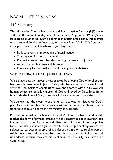# RACIAL JUSTICE SUNDAY

## 13<sup>th</sup> February

The Methodist Church has celebrated Racial Justice Sunday (RJS) since 1989, on the second Sunday in September. Since September 1995 RJS has become an ecumenical event celebrated in Britain and Ireland. RJS moved to the second Sunday in February, with effect from 2017. This Sunday is an opportunity for all Christians to join together in:

- Reflecting on the importance of racial justice
- Thanksgiving for human diversity
- Prayer for an end to misunderstanding, racism and injustice
- Action that truly makes a difference
- Fundraising for national and local racial justice initiatives

#### WHY CELEBRATE RACIAL JUSTICE SUNDAY?

We believe that the universe was created by a loving God who chose to become a human being in Jesus Christ, who has redeemed the world and sent the Holy Spirit to enable us to love one another with God's love. All human beings are equally children of God and loved by God. Since none is outside the love of God, none should be outside our love either.

We believe that the diversity of the human race was no mistake on God's part. God deliberately created variety within the human family and wants us to take as much delight in that variety as God does.

But racism persists in Britain and Ireland. At its most obvious and brutal, it takes the form of physical attacks, which sometimes end in murder. But it takes many other forms as well, like discrimination within the police force, popular prejudice against Travellers or people seeking asylum, or reluctance to accept people of a different ethnic or cultural group as neighbours. Even within churches, people can face discrimination and unkindness because they are different from the majority in a particular community.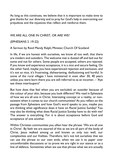As long as this continues, we believe that it is important to make time to give thanks for our diversity and to pray for God's help in overcoming our prejudices and the injustices that reflect and reinforce them.

#### WE ARE ALL ONE IN CHRIST, OR ARE WE?

#### (EPHESIANS 2 :19-22)

A Sermon by Revd Mandy Ralph, Minister, Church Of Scotland

In life, if we are honest with ourselves, we know all too well, that there are insiders and outsiders. The welcome mat is dusted off and laid out for some and not for others. Some people are accepted, others are rejected. If you know and experience acceptance, it is a nice and secure feeling. On the other hand, maybe you have experienced rejection and exclusion, and it's not so nice, it's frustrating, disheartening, disillusioning and hurtful. In some of the rural villages I have ministered in even after 30, 40 years unless you were born there you are still referred to as an incomer, – 'Aye see these interloupers!'

But how does that feel when you are excluded, an outsider because of the colour of your skin, because you look different? We read in Ephesians of how we are all one in Christ. Interesting concept or a reality, or nonexistent when it comes to our church communities? As you reflect on the passage from Ephesians and how God's word speaks to you, maybe you are thinking what significance does it have on Racial Justice Sunday? You may also be thinking what does Racial Justice Sunday have to do with me? The answer is everything. For it is about acceptance before God and acceptance of one another.

Within Christian communities you often hear the phrase: 'We are all one in Christ'. By faith we are assured of this as we are all part of the body of Christ. Jesus walked among us and knows us only too well, our complexities and our frailties. Therefore, let's not kid ourselves that we can use the phrase to our own ends; when we use it to paper over uncomfortable discussions or to prove we are right in our stance or as a line of defence. Sometimes when we use that phrase what we are actually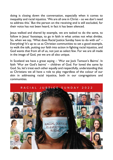doing is closing down the conversation, especially when it comes to inequality and racial injustice. 'We are all one in Christ – so we don't need to address this.' But the person on the receiving end is still excluded, for their voice has not been heard, in fact it has been silenced.

Jesus walked and shared by example, we are tasked to do the same, to follow in Jesus' footsteps, to go in faith in what unites not what divides. So, when we say, 'What does Racial Justice Sunday have to do with us?' – Everything! It's up to us as Christian communities to set a good example, to walk the talk, putting our faith into action in fighting racial injustice, and God wants that from all of us, not just as select few. For we are all made in the image of God, yet we are all also unique.

In Scotland we have a great saying – 'Wur aw Jock Tamson's Bairns'. In faith 'Wur aw God's bairns' – children of God. For loved the same by God. So, let's treat each other equally and respectfully, understanding that as Christians we all have a role to play regardless of the colour of our skin in addressing racial injustice, both in our congregations and communities.



#### RACIAL JUSTICE SUNDAY 2022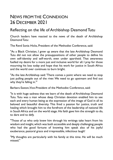## NEWS FROM THE CONNEXION 26 DECEMBER 2021

## Reflecting on the life of Archbishop Desmond Tutu

Church leaders have reacted to the news of the death of Archbishop Desmond Tutu:

The Revd Sonia Hicks, President of the Methodist Conference, said:

"As a Black Christian, I grew up aware that the late Archbishop Desmond Tutu did not not allow the presuppositions of other people to define his own self-identity and self-worth, even under apartheid. That awareness fuelled my desire for a more just and inclusive world for all. I pray for those mourning his loss today and hope that his work for justice in South Africa and the world over continues to burn bright.

"As the late Archbishop said: 'There comes a point where we need to stop just pulling people out of the river. We need to go upstream and find out why they're falling in.'"

Barbara Easton, Vice-President of the Methodist Conference, said:

"It is with huge sadness that we learn of the death of Archbishop Desmond Tutu. Tutu was a man whose deep Christian devotion enabled him to see each and every human being as the expression of the image of God in all its beloved and beautiful diversity. This fired a passion for justice, truth and healing which brought him to the forefront of the leadership of national life in South Africa and on the world stage. His faith gave him the strength to do, to dare and to defy.

"Those of us who only knew him through his writings take heart from his wisdom and insight, which was both accessible and deeply challenging; people who had the good fortune of knowing him speak also of his joyful exuberance, pastoral grace and irrepressible, infectious laugh!

"My thoughts are particularly with his family at this time. He will be much missed."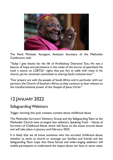

The Revd Michaela Youngson, Assistant Secretary of the Methodist Conference, said:

"Today I give thanks for the life of Archbishop Desmond Tutu. He was a beacon of hope and persistence in the midst of the horror of apartheid. He took a stance on LGBTQ+ rights that put him at odds with many in his church, yet he remained committed to sharing God's inclusive love."

"Our prayers are with the people of South Africa and in particular with our partners, the Church of Southern Africa, as they continue to bear witness to the transformational power of the Gospel of Jesus Christ."

# 12 JANUARY 2022

## Safeguarding Webinars

Trigger warning: this post contains content about childhood abuse

The Methodist Survivors' Advisory Group and the Safeguarding Team at the Methodist Church have arranged two webinars, Speaking Truth – Voices of Survivors of Childhood Abuse which will focus on the issues around abuse and will take place in January and February 2022.

It is likely that we all know someone who has survived childhood abuse, whether at work, at church or amongst our families and friends and the Safeguarding Team hope that these factual and wide-ranging webinars will enable participants to understand the impact abuse can have, in some cases,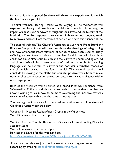for years after it happened. Survivors will share their experiences, for which the Team is very grateful.

The first webinar, Hearing Reality: Voices Crying in The Wilderness will explore the history and prevalence of childhood abuse in this country, the impact of abuse upon survivors throughout their lives, and the history of the Methodist Church's response to survivors of abuse and our ongoing work to improve and learn from the voices of people who have experienced abuse

The second webinar, The Church's Response to Survivors: From Stumbling Block to Stepping Stone, will teach us about the theology of safeguarding and how erroneous interpretations of scripture have been used to justify suffering or to force survivors to forgive. Participants will hear how childhood abuse affects future faith and the survivor's understanding of God and church. We will learn how aspects of traditional church life, including language, can be harmful to survivors and consider alternative modes of church which survivors have found helpful. This second webinar will conclude by looking at the Methodist Church's positive work, both to make our churches safer spaces and to respond better to survivors of abuse within our congregations.

Both of the webinars will be aimed at a broad Methodist audience from Safeguarding Officers and those in leadership roles within churches to anyone wishing to learn how to be more welcoming and inclusive towards survivors of abuse within our churches or workplaces.

You can register in advance for the Speaking Truth – Voices of Survivors of Childhood Abuse webinars below:

Webinar 1 – Hearing Reality: Voices Crying in the Wilderness Wed 19 January 11am - 12:30pm

Webinar 2 – The Church's Response to Survivors: From Stumbling Block to Stepping Stone Wed 23 February 11am - 12:30pm Register in advance for this webinar here [https://zoom.us/webinar/register/WN\\_7X-fJjUqSjqKoOC5Mo6YRg](https://zoom.us/webinar/register/WN_7X-fJjUqSjqKoOC5Mo6YRg)

If you are not able to join the live event, you can register to watch the recording by emailing: [littlek@methodistchurch.org.uk](mailto:littlek@methodistchurch.org.uk)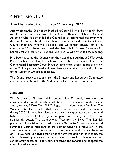# 4 FEBRUARY 2022

## The Methodist Council 26-27 January 2022

After worship, the Chair of the Methodist Council, Mrs Jill Baker paid tribute to Mr Peter Pay, moderator of the United Reformed Church General Assembly, who had attended the Council as an ecumenical observer who died in December. She described him as a 'much valued participant in our Council meetings who we shall miss and we remain grateful for all he contributed.' Mrs Baker welcomed the Revd Philip Brooks, Secretary for Ecumenical and Interfaith Relations for the URC, who attended the meeting.

Mrs Baker updated the Council with the news that a building at 25 Tavistock Place has been purchased which will house the Connexional Team. The Connexional Secretary Doug Swanney gave more details about the move out of 25 Marylebone Road and how plans for a service to mark the closure of the current MCH are in progress.

The Council received reports from the Strategy and Resources Committee and the Annual Report of the Audit and Risk Assurance Committee.

#### **Accounts**

The Director of Finance and Resources, Matt Tattersall, introduced the consolidated accounts which in addition to Connexional Funds, include among others, All We Can, Cliff College, the London Mission Fund and The Wesley Hotel. He reported that while there had been a drop in income during 2020-21 there had also been a drop in expenditure and our fund balances at the end of last year compared with the year before were significantly better. The Connexional Treasurer, the Revd Tim Swindell presented a financial 'state of health' for the Methodist Church in Britain and reminded Council members of the commitment to a reduction in the assessment which will have an impact on amount of work that can be taken on. Mr Swindell said that despite a long term reduction in its income, the Church is wealthy, although the funds are not always in a place where they can be easily accessed. The Council received the reports and adopted the consolidated accounts.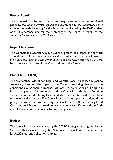#### **Forces Board**

The Connexional Secretary, Doug Swanney presented the Forces Board paper to the Council, which agreed to recommend to the Conference that changes be made including for the Board to be chaired by the Ex-President of the Conference, and for the Secretary of the Board to report to the Assistant Secretary of the Conference.

#### **Impact Assessment**

The Connexional Secretary Doug Swanney presented a paper on the work around Impact Assessment which was discussed at the last Council meeting. Members took part in small group discussions on how better decisions can be made about what work the Church does in the future.

#### **Model Trust 14(2A)**

The Conference Officer for Legal and Constitutional Practice, Mrs Joanne Anderton, presented the paper to the Council proposing changes to the conditions around sharing premises with other denominations by bringing in lease arrangements. Mrs Anderton told the Council that this is the first time we have considered offering leases and also there is still work to be done on 'doctrinal differences'. The Council received the report, and adopted the policy recommendations, directing the Conference Officer for Legal and Constitutional Practice to work with the ecumenical officers and the Faith and Order committee in order to produce guidance.

#### **Budget**

The principles to be used in setting the 2022/23 budget were agreed by the Council. This included using the Mission in Britain Fund to support the Justice, Dignity and Solidarity strategy.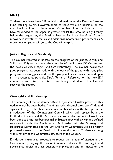#### **MMPS**

To date there have been 758 individual donations to the Pension Reserve Fund totalling £5.7m. However, some of these were on behalf of all the churches in a circuit so the number of churches, circuits and districts that have responded to the appeal is greater. Whilst this amount is significantly below the target set, the Pension Reserve Fund has benefitted from a recovery in investment values and additional income from property sales. A more detailed paper will go to the Council in April.

#### **Justice, Dignity and Solidarity**

The Council received an update on the progress of the Justice, Dignity and Solidarity (IDS) strategy from the co-chairs of the Shadow IDS Committee, the Revds Charity Nzegwu and Sam McBratney. The Council heard that good progress has been made with the work of the group with many pilot programmes taking place and that the group will be as transparent and open in its processes as possible. Draft Terms of Reference for the new JDS committee and future recruitment are being worked on. The Council received the report.

#### **Oversight and Trusteeship**

The Secretary of the Conference, Revd Dr Jonathan Hustler presented this update which he described as "multi-layered and complicated work". He said significant progress has been made in a number of areas, the lynchpin is the introduction of the Connexional Council, which will replace both the Methodist Council and the SRC, and a considerable amount of work has been done to bring into being a smaller Trustee body with a clear and defined relationship with the Conference. Dr Hustler said the Strategy and Resources Committee and the Law and Polity Committee will be bringing proposed changes to the Deed of Union to this year's Conference along with a review of the Committee structure of the Church.

Dr Hustler introduced proposals to reduce the number of districts in the Connexion by saying the current number shapes the oversight and governance bodies and has budgetary implications and an impact on the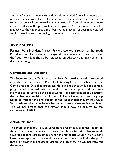amount of work that needs to be done. He reminded Council members that much work has taken place to listen to each district and said the work needs to be 'consensual, contextual and connexional'. Council members were invited to discuss the proposals in small groups. After an opportunity for feedback to the wider group, members voted in favour of beginning detailed work to work towards reducing the number of districts.

#### **Youth President**

Former Youth President Michael Pryke presented a review of the Youth President's role. Council members agreed recommendations that the role of the Youth President should be refocused on advocacy and involvement in decision making.

#### **Complaints and Discipline**

The Secretary of the Conference, the Revd Dr Jonathan Hustler presented an update on the review of Part 11 of Standing Orders, which set out the Complaints and Discipline processes. He explained that while considerable progress had been made with the work, it was not complete and there was still work to be done on the opportunities for reconciliation and reducing the numbers of complaints. Dr Hustler told Council members that the group needs to wait for the final report of the Independent Inquiry into Child Sexual Abuse which may have a bearing on how the review is completed. The Council agreed that the review should now be brought to the Conference of 2023.

#### **Action for Hope**

The Head of Mission, Ms Jude Levermore presented a progress report on Action for Hope, the work to develop a Methodist Faith Plan to work towards net zero carbon emissions for the Methodist Church in Britain. Ms Levermore reported that several consultations have started with the plan's three key areas in mind: assets, wisdom and lifestyles. The Council received the report.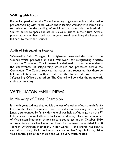#### **Walking with Micah**

Rachel Lampard joined the Council meeting to give an outline of the justice project, Walking with Micah, which she is leading. Walking with Micah aims to review our understanding of social justice to enable the Methodist Church better to speak and act on issues of justice in the future. After a presentation, members took part in group work examining the issues and fed back to the wider Council.

#### **Audit of Safeguarding Practice**

Safeguarding Policy Manager, Nicola Sylvester presented this paper to the Council which proposed an audit framework for safeguarding practice across the Connexion. This framework is designed to assess independently the effectiveness of safeguarding structures and processes across the Connexion. The Council received the report, and requested that there be full consultation and further work on the framework with District Safeguarding Officers and others. The Council will consider the framework at its next meeting.

## WITHINGTON FAMILY NEWS

## In Memory of Elaine Champion

It is with great sadness that we felt the loss of another of our church family last month: Elaine Champion. Elaine passed away peacefully on the 24<sup>rd</sup> January surrounded by family. Her funeral was held at Withington on the 9th February and was well attended by friends and family. Elaine was a member of Withington Methodist church since a young age and in October 2020 wrote a piece about her life in the church for the magazine entitled 'My 80 Years at Withington Methodist'. In her words – "the church has been a central part of my life for as long as I can remember." Equally for us, Elaine was a central part of our church and will be very much missed.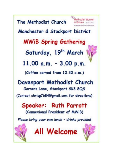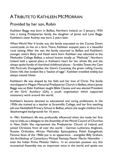# ATRIBUTE TO KATHLEEN MCMORRAN

## Provided by her son, Robin

Kathleen Beggs was born in Belfast, Northern Ireland, on 3 January, 1934, into a loving Presbyterian family, the daughter of James and Lena Beggs. Kathleen's sister Audrey was born 2 years later.

When World War II broke out, the family evacuated to the County Down countryside, to live on a farm. There, Kathleen enjoyed years in a beautiful rural setting. After the war, the family returned to Belfast and Kathleen's younger sisters Betty and Hazel were born. Kathleen was educated at the Methodist College Belfast, a school known locally as "Methody". Northern Ireland held a special place in Katheen's heart for her whole life, and she always spoke fondly of cherished childhood places – Scrabbo Tower, the Cave Hill, Portrush, Donagahdee, the Giant's Causeway, the green rolling County Down hills that looked like a "basket of eggs". Kathleen travelled widely, but always missed Ulster.

Kathleen's life was shaped by her faith and her love of Christ. The family worshipped in Megain Memorial Presbyterian Church in Belfast, where James Beggs was an Elder. Kathleen taught Bible Classes, and was elected President of the Girls' Auxiliary (GA), a youth organisation which supported missionary work around the world.

Kathleen's became devoted to educational and caring professions. In the 1950s she trained as a teacher at Stranmillis College, and her first teaching job was Nettlefield Primary School in Belfast, where she taught children from disadvantaged backgrounds for 10 years.

In 1961, Kathleen's life was profoundly influenced when she made her first trip to India, as a delegate to the Assembly of the World Council of Churches in New Delhi. She represented the Presbyterian Church of Ireland, and joined Christians from all over the world – German Lutherans, Anglicans, Russian Orthodox, African Methodist Episcopalians, Polish Evangelicals. Famous faces of the 1960s put in an appearance - evangelist Billy Graham, the Archbishop of Canterbury Michael Ramsey, Pastor Martin Niemöller – even the Indian Prime Minister Nehru. In an uncertain postwar era, this ecumenical Assembly was an important voice in the world, and spoke out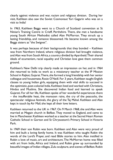clearly against violence and war, racism and religious division. During her visit, Kathleen also saw the Soviet Cosmonaut Yuri Gagarin who was on a visit to India!

In 1963, Kathleen Beggs went to a Church of Scotland convention at St Ninian's Training Centre in Crieff, Perthshire. There, she met a handsome young South African Methodist called Alan McMorran. They struck up a lasting friendship, and romance blossomed. He became known among the Beggs sisters as "the Swignet".

It was perhaps because of their backgrounds that they bonded – Kathleen was from Northern Ireland, where religious division had brought violence, and Alan was from South Africa, a country divided by Apartheid. Their shared ideals of ecumenism, racial equality and Christian love gave them common ground.

Kathleen's New Delhi trip clearly made an impression on her, and in 1964 she returned to India to work as a missionary teacher at the IP Mission School in Rajkot, Gujarat. There, she formed a long friendship with her senior colleague and housemate, Rosie O'Neill. For 3 years, Kathleen taught English classes to young Indian girls, equipping them with vital skills to succeed in the optimistic, post-colonial India. Kathleen lived and worked with Christians, Hindus and Muslims. She discovered Indian food and learned to speak Gujarati. For all her life, Kathleen spoke of her wonderful experiences there – the insufferable heat, the monsoon rains, the cry of the peacocks, the spectacular religious festivals, the glory of the Taj Mahal. Kathleen and Alan kept in touch by Air Mail; she kept all their love letters.

Kathleen returned to the UK in 1967. On 9 March 1968, she and Alan were married at Megain church in Belfast. They moved to England, and came to live in Manchester. Kathleen worked as a teacher at the Sacred Heart Roman Catholic School in Gorton and St Chrysostom's Primary School in Victoria Park.

In 1969 their son Robin was born. Kathleen and Alan were very proud of him and built a loving family home. It was Kathleen who taught Robin the words of the Lord's Prayer, and read Bible stories to him. Alan instilled in Robin a love of music, art and architecture. The McMorran home was filled with art from India, Africa and Ireland, and Robin grew up surrounded by beautiful images of Indian villages, Zulu sculpture, and scenes of Belfast. Robin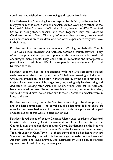could not have wished for a more loving and supportive family.

Like Kathleen, Alan's working life was inspired by his faith, and he worked for many years in child care. Kathleen and Alan started working together: at the National Children's Home on Wilbraham Road; then at the NCH Danesford School in Congleton, Cheshire; and then together they ran Lynwood Children's home in West Didsbury. Wherever they worked, they showed care and compassion to children who had often experienced very little love in their lives.

Kathleen and Alan became active members of Withington Methodist Church – Alan was a local preacher and Kathleen became a church steward. They often gave practical and prayer support to those who were in need, and encouraged many people. They were both an important and unforgettable part of our shared church life. So many people here today miss Alan and Kathleen terribly.

Kathleen brought her life experiences with her. She sometimes raised eyebrows when she turned up at Rotary Club dinners wearing an Indian sari. Once, she amazed an Indian lady in Manchester by giving her directions in Gujarati! Kathleen was a highly organised, very caring lady, hard-working and dedicated to looking after Alan and Robin. When Alan fell ill, Kathleen became a full-time carer. She sometimes felt exhausted, but when Alan died, she said "I would have looked after him forever". Kathleen and Alan were in love, to the end.

Kathleen was also very particular. She liked everything to be done properly and she hated untidiness – no towel could be left unfolded; no shirt left untucked; and woe betide you if you ate toast without a plate and dropped crumbs! But all of this was all borne out of love.

Kathleen loved things of beauty. Delicate Ulster Lace, sparkling Waterford Crystal, Indian tapestry, Celtic ornamentation. Music like the Star of the County Down, the golden flute of James Galway. Landscapes like the Mourne Mountains outside Belfast, the Kyles of Bute, the Howe Sound at Vancouver, Table Mountain in Cape Town – all these things all filled her heart with joy. Some of her last days out with Robin were gentle walks in the beauty of Alderley Edge. She loved animals, was fascinated by wild birds, befriended squirrels, and loved Houdini, the family cat.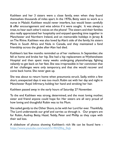Kathleen and her 3 sisters were a close family, even when they found themselves thousands of miles apart. In the 1970s, Betty went to work as a nurse in Malaŵi. Kathleen would never interfere, but would listen carefully & offer encouragement and wise advice if it were sought. It was always a treat, to hear each other's voices on the phone! The sisters and their families also really appreciated her hospitality and enjoyed spending time together in Manchester and Northern Ireland, and on memorable holidays in Jersey & on The Rhine. Kathleen was also loved by Alan's side of the family, his sisters Mavis in South Africa and Nola in Canada, and they maintained a fond friendship across the globe after Alan had died.

Kathleen's last few months reminded us of her resilience. In September, she fell at home and broke her hip. She had a hip replacement at Wythenshawe Hospital and then spent many weeks undergoing physiotherapy, fighting valiantly to get back on her feet. She was irrepressible in her conviction that all her challenges were only temporary, and that she would recover and come back home. She never gave up.

She was about to return home when pneumonia struck. Sadly, within a few short, unexpected days it was too much. Robin sat with her day and night in Manchester Royal Infirmary, holding her hand and stroking her hair.

Kathleen passed away in the early hours of Saturday 27 November.

To the end Kathleen was strong, determined, and the most loving mother, sister and friend anyone could hope for. Her sisters are all very proud of how loving and thoughtful Robin was to his Mum.

She sailed gently to the Other Shore, to be with her Lord for ever. Thankfully, The Lord understands our grief and carries us through it. Our prayers are for Robin, Audrey, Betty, Hazel, Teddy, Peter and Phillip as they cope with their sad loss.

A slideshow of photos showing Kathleen's rich life can be found here [https://www.youtube.com/watch?v=RHZRiq\\_0uJs](https://www.youtube.com/watch?v=RHZRiq_0uJs)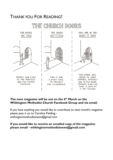## THANK YOU FOR READING!



#### **The next magazine will be out on the 6 th March on the Withington Methodist Church Facebook Group and via email.**

If you have anything you would like to contribute to next month's magazine please pass it on to Caroline Fielding [withingtonmethodistnews@gmail.com](mailto:withingtonmethodistnews@gmail.com)

**If you would like to receive an emailed copy of the magazine please email - [withingtonmethodistnews@gmail.com](mailto:withingtonmethodistnews@gmail.com)**